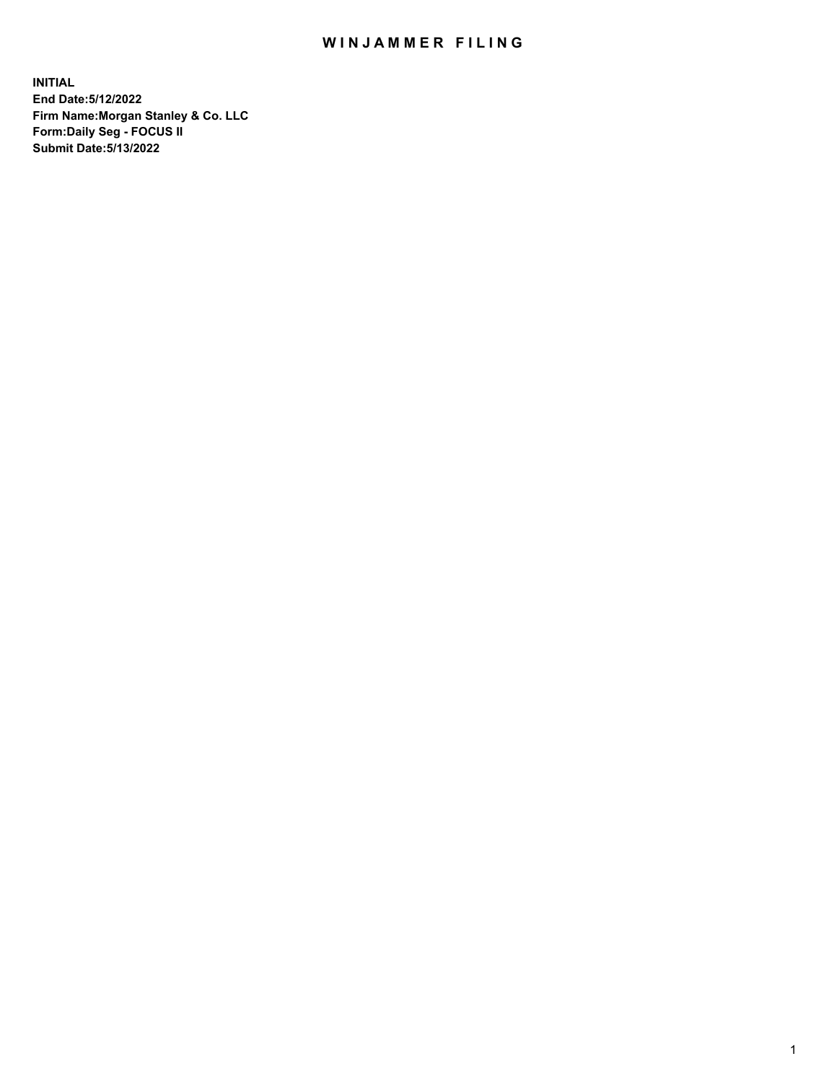## WIN JAMMER FILING

**INITIAL End Date:5/12/2022 Firm Name:Morgan Stanley & Co. LLC Form:Daily Seg - FOCUS II Submit Date:5/13/2022**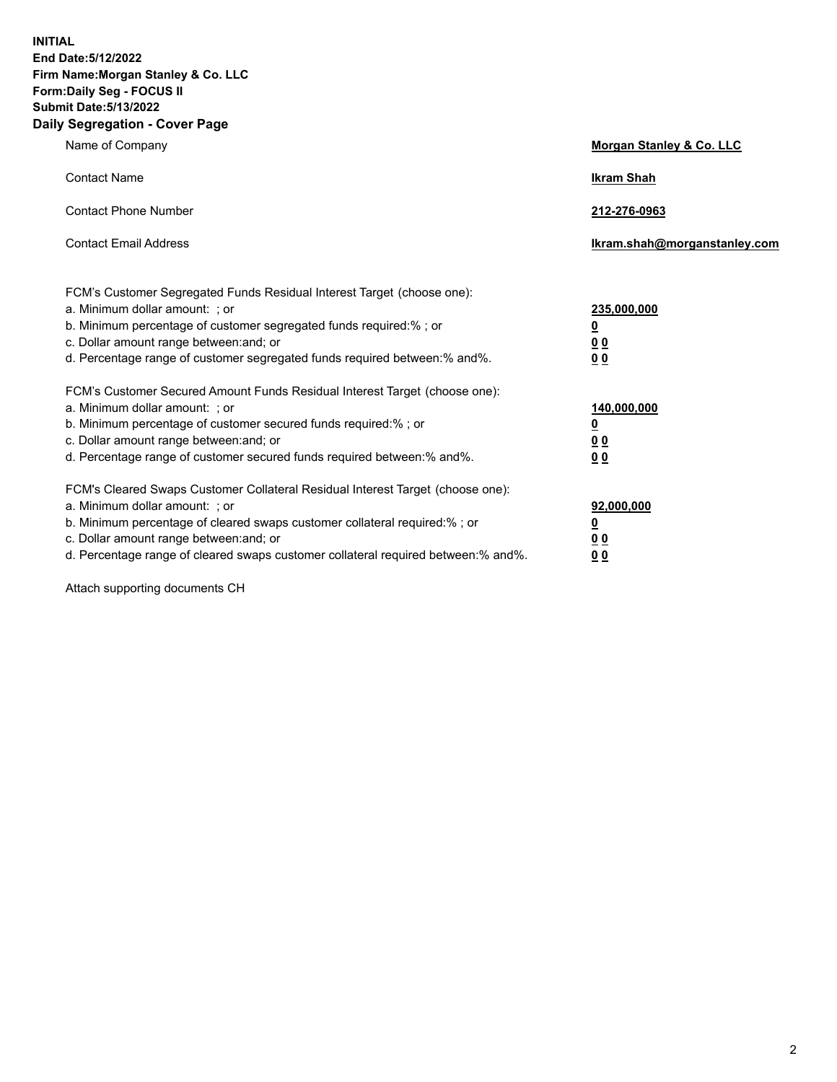**INITIAL End Date:5/12/2022 Firm Name:Morgan Stanley & Co. LLC Form:Daily Seg - FOCUS II Submit Date:5/13/2022 Daily Segregation - Cover Page**

| Name of Company                                                                                                                                                                                                                                                                                                                | <b>Morgan Stanley &amp; Co. LLC</b>                    |
|--------------------------------------------------------------------------------------------------------------------------------------------------------------------------------------------------------------------------------------------------------------------------------------------------------------------------------|--------------------------------------------------------|
| <b>Contact Name</b>                                                                                                                                                                                                                                                                                                            | <b>Ikram Shah</b>                                      |
| <b>Contact Phone Number</b>                                                                                                                                                                                                                                                                                                    | 212-276-0963                                           |
| <b>Contact Email Address</b>                                                                                                                                                                                                                                                                                                   | Ikram.shah@morganstanley.com                           |
| FCM's Customer Segregated Funds Residual Interest Target (choose one):<br>a. Minimum dollar amount: : or<br>b. Minimum percentage of customer segregated funds required:%; or<br>c. Dollar amount range between: and; or<br>d. Percentage range of customer segregated funds required between:% and%.                          | 235,000,000<br><u>0</u><br><u>00</u><br><u>00</u>      |
| FCM's Customer Secured Amount Funds Residual Interest Target (choose one):<br>a. Minimum dollar amount: ; or<br>b. Minimum percentage of customer secured funds required:%; or<br>c. Dollar amount range between: and; or<br>d. Percentage range of customer secured funds required between:% and%.                            | 140,000,000<br><u>0</u><br><u>00</u><br>0 <sub>0</sub> |
| FCM's Cleared Swaps Customer Collateral Residual Interest Target (choose one):<br>a. Minimum dollar amount: ; or<br>b. Minimum percentage of cleared swaps customer collateral required:% ; or<br>c. Dollar amount range between: and; or<br>d. Percentage range of cleared swaps customer collateral required between:% and%. | 92,000,000<br><u>0</u><br><u>00</u><br>00              |

Attach supporting documents CH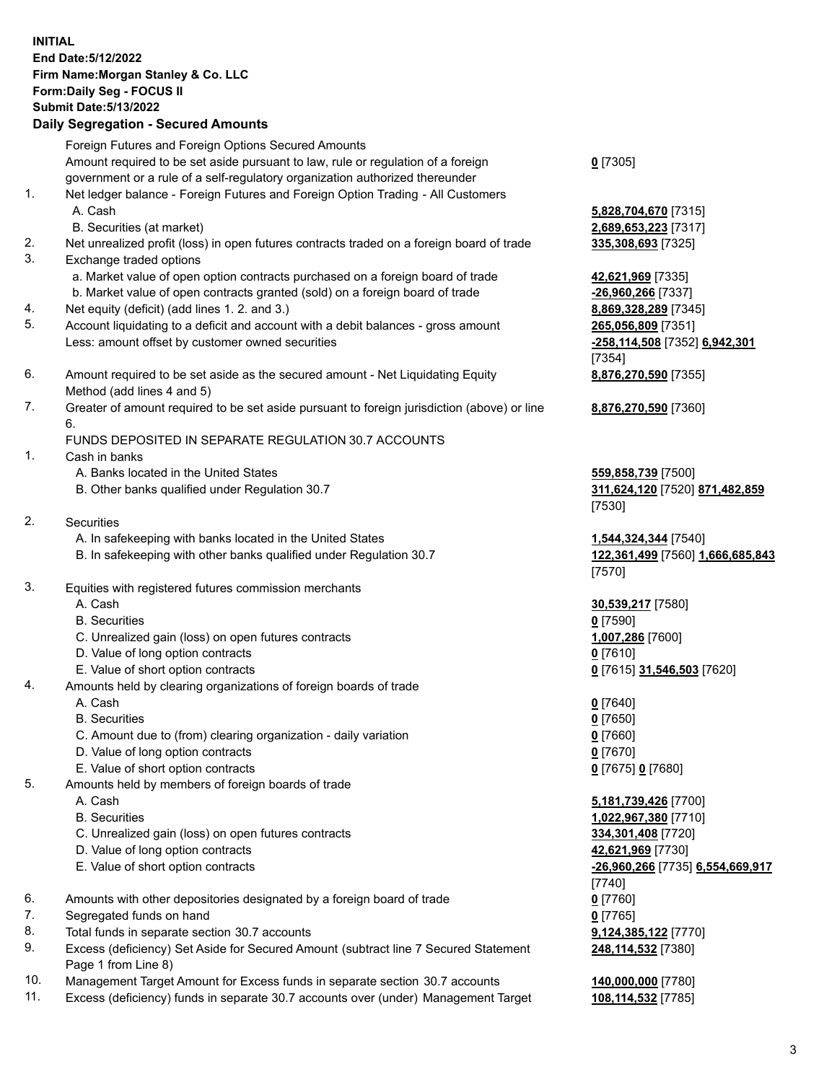## **INITIAL End Date:5/12/2022 Firm Name:Morgan Stanley & Co. LLC Form:Daily Seg - FOCUS II Submit Date:5/13/2022 Daily Segregation - Secured Amounts**

Foreign Futures and Foreign Options Secured Amounts Amount required to be set aside pursuant to law, rule or regulation of a foreign government or a rule of a self-regulatory organization authorized thereunder

- 1. Net ledger balance Foreign Futures and Foreign Option Trading All Customers A. Cash **5,828,704,670** [7315]
	- B. Securities (at market) **2,689,653,223** [7317]
- 2. Net unrealized profit (loss) in open futures contracts traded on a foreign board of trade **335,308,693** [7325]
- 3. Exchange traded options
	- a. Market value of open option contracts purchased on a foreign board of trade **42,621,969** [7335]
	- b. Market value of open contracts granted (sold) on a foreign board of trade **-26,960,266** [7337]
- 4. Net equity (deficit) (add lines 1. 2. and 3.) **8,869,328,289** [7345]
- 5. Account liquidating to a deficit and account with a debit balances gross amount **265,056,809** [7351] Less: amount offset by customer owned securities **-258,114,508** [7352] **6,942,301**
- 6. Amount required to be set aside as the secured amount Net Liquidating Equity Method (add lines 4 and 5)
- 7. Greater of amount required to be set aside pursuant to foreign jurisdiction (above) or line 6.

## FUNDS DEPOSITED IN SEPARATE REGULATION 30.7 ACCOUNTS

- 1. Cash in banks
	- A. Banks located in the United States **559,858,739** [7500]
	- B. Other banks qualified under Regulation 30.7 **311,624,120** [7520] **871,482,859**
- 2. Securities
	- A. In safekeeping with banks located in the United States **1,544,324,344** [7540]
	- B. In safekeeping with other banks qualified under Regulation 30.7 **122,361,499** [7560] **1,666,685,843**
- 3. Equities with registered futures commission merchants
	-
	- B. Securities **0** [7590]
	- C. Unrealized gain (loss) on open futures contracts **1,007,286** [7600]
	- D. Value of long option contracts **0** [7610]
	- E. Value of short option contracts **0** [7615] **31,546,503** [7620]
- 4. Amounts held by clearing organizations of foreign boards of trade
	- A. Cash **0** [7640]
	- B. Securities **0** [7650]
	- C. Amount due to (from) clearing organization daily variation **0** [7660]
	- D. Value of long option contracts **0** [7670]
	- E. Value of short option contracts **0** [7675] **0** [7680]
- 5. Amounts held by members of foreign boards of trade
	-
	-
	- C. Unrealized gain (loss) on open futures contracts **334,301,408** [7720]
	- D. Value of long option contracts **42,621,969** [7730]
	- E. Value of short option contracts **-26,960,266** [7735] **6,554,669,917**
- 6. Amounts with other depositories designated by a foreign board of trade **0** [7760]
- 7. Segregated funds on hand **0** [7765]
- 8. Total funds in separate section 30.7 accounts **9,124,385,122** [7770]
- 9. Excess (deficiency) Set Aside for Secured Amount (subtract line 7 Secured Statement Page 1 from Line 8)
- 10. Management Target Amount for Excess funds in separate section 30.7 accounts **140,000,000** [7780]
- 11. Excess (deficiency) funds in separate 30.7 accounts over (under) Management Target **108,114,532** [7785]

**0** [7305]

[7354] **8,876,270,590** [7355]

**8,876,270,590** [7360]

[7530]

[7570]

A. Cash **30,539,217** [7580]

 A. Cash **5,181,739,426** [7700] B. Securities **1,022,967,380** [7710] [7740] **248,114,532** [7380]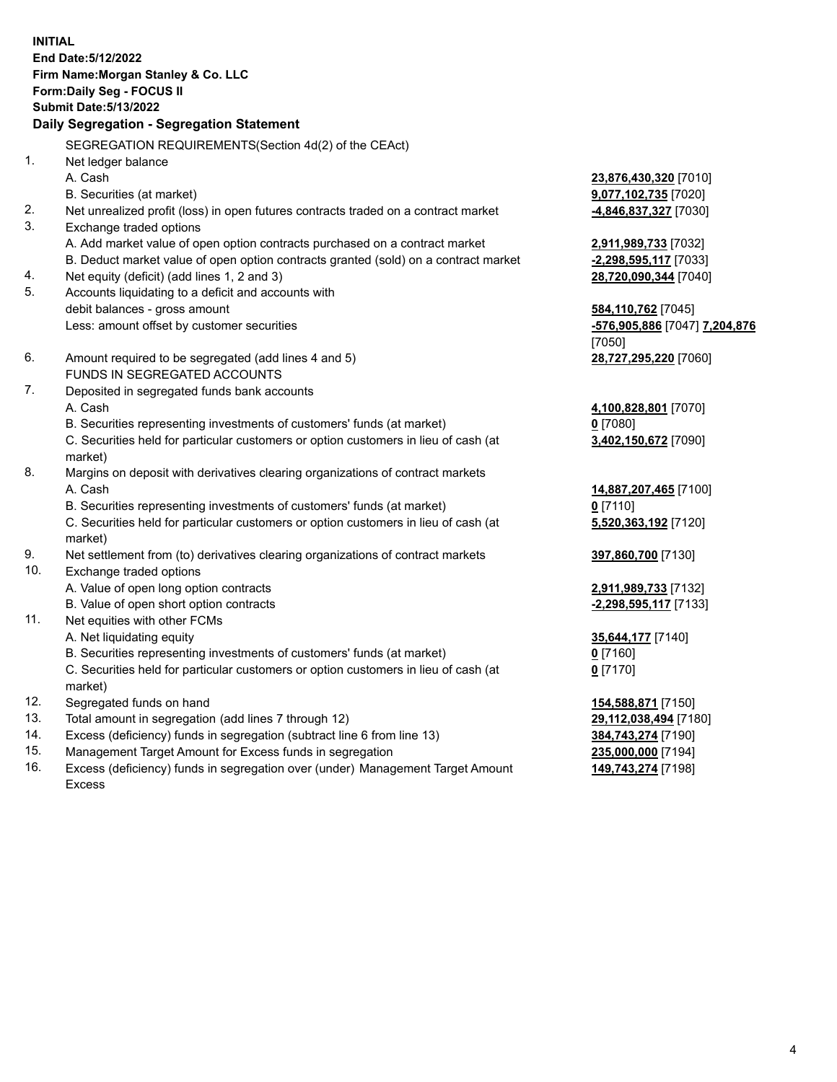**INITIAL End Date:5/12/2022 Firm Name:Morgan Stanley & Co. LLC Form:Daily Seg - FOCUS II Submit Date:5/13/2022 Daily Segregation - Segregation Statement** SEGREGATION REQUIREMENTS(Section 4d(2) of the CEAct) 1. Net ledger balance A. Cash **23,876,430,320** [7010] B. Securities (at market) **9,077,102,735** [7020] 2. Net unrealized profit (loss) in open futures contracts traded on a contract market **-4,846,837,327** [7030] 3. Exchange traded options A. Add market value of open option contracts purchased on a contract market **2,911,989,733** [7032] B. Deduct market value of open option contracts granted (sold) on a contract market **-2,298,595,117** [7033] 4. Net equity (deficit) (add lines 1, 2 and 3) **28,720,090,344** [7040] 5. Accounts liquidating to a deficit and accounts with debit balances - gross amount **584,110,762** [7045] Less: amount offset by customer securities **-576,905,886** [7047] **7,204,876** [7050] 6. Amount required to be segregated (add lines 4 and 5) **28,727,295,220** [7060] FUNDS IN SEGREGATED ACCOUNTS 7. Deposited in segregated funds bank accounts A. Cash **4,100,828,801** [7070] B. Securities representing investments of customers' funds (at market) **0** [7080] C. Securities held for particular customers or option customers in lieu of cash (at market) **3,402,150,672** [7090] 8. Margins on deposit with derivatives clearing organizations of contract markets A. Cash **14,887,207,465** [7100] B. Securities representing investments of customers' funds (at market) **0** [7110] C. Securities held for particular customers or option customers in lieu of cash (at market) **5,520,363,192** [7120] 9. Net settlement from (to) derivatives clearing organizations of contract markets **397,860,700** [7130] 10. Exchange traded options A. Value of open long option contracts **2,911,989,733** [7132] B. Value of open short option contracts **-2,298,595,117** [7133] 11. Net equities with other FCMs A. Net liquidating equity **35,644,177** [7140] B. Securities representing investments of customers' funds (at market) **0** [7160] C. Securities held for particular customers or option customers in lieu of cash (at market) **0** [7170] 12. Segregated funds on hand **154,588,871** [7150] 13. Total amount in segregation (add lines 7 through 12) **29,112,038,494** [7180] 14. Excess (deficiency) funds in segregation (subtract line 6 from line 13) **384,743,274** [7190] 15. Management Target Amount for Excess funds in segregation **235,000,000** [7194]

16. Excess (deficiency) funds in segregation over (under) Management Target Amount Excess

**149,743,274** [7198]